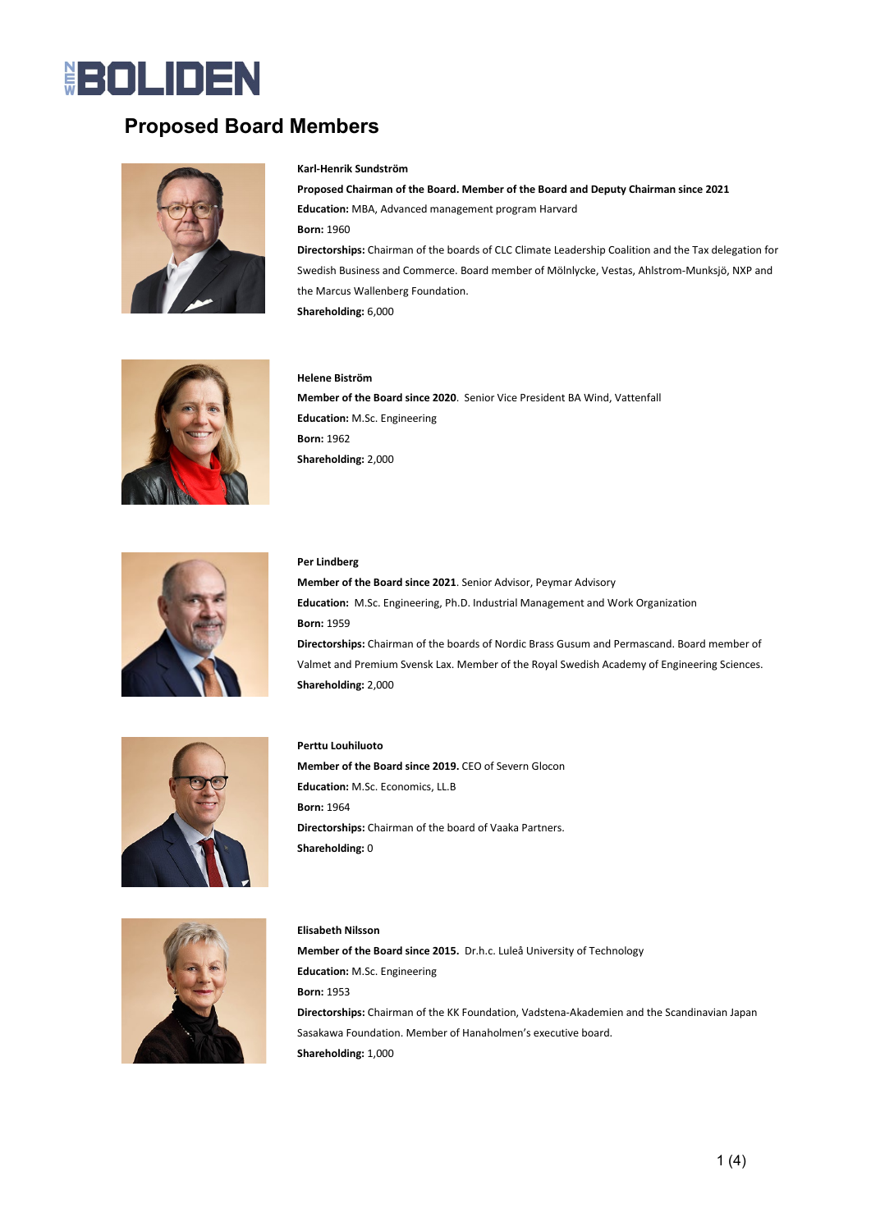### **BOLIDEN**

### **Proposed Board Members**



#### **Karl-Henrik Sundström**

**Proposed Chairman of the Board. Member of the Board and Deputy Chairman since 2021 Education:** MBA, Advanced management program Harvard **Born:** 1960 **Directorships:** Chairman of the boards of CLC Climate Leadership Coalition and the Tax delegation for Swedish Business and Commerce. Board member of Mölnlycke, Vestas, Ahlstrom-Munksjö, NXP and the Marcus Wallenberg Foundation.

**Shareholding:** 6,000



#### **Helene Biström**

**Member of the Board since 2020**. Senior Vice President BA Wind, Vattenfall **Education:** M.Sc. Engineering **Born:** 1962 **Shareholding:** 2,000



#### **Per Lindberg**

**Member of the Board since 2021**. Senior Advisor, Peymar Advisory **Education:** M.Sc. Engineering, Ph.D. Industrial Management and Work Organization **Born:** 1959 **Directorships:** Chairman of the boards of Nordic Brass Gusum and Permascand. Board member of Valmet and Premium Svensk Lax. Member of the Royal Swedish Academy of Engineering Sciences. **Shareholding:** 2,000



#### **Perttu Louhiluoto**

**Elisabeth Nilsson**

**Member of the Board since 2019.** CEO of Severn Glocon **Education:** M.Sc. Economics, LL.B **Born:** 1964 **Directorships:** Chairman of the board of Vaaka Partners. **Shareholding:** 0



### **Member of the Board since 2015.** Dr.h.c. Luleå University of Technology **Education:** M.Sc. Engineering **Born:** 1953 **Directorships:** Chairman of the KK Foundation, Vadstena-Akademien and the Scandinavian Japan Sasakawa Foundation. Member of Hanaholmen's executive board. **Shareholding:** 1,000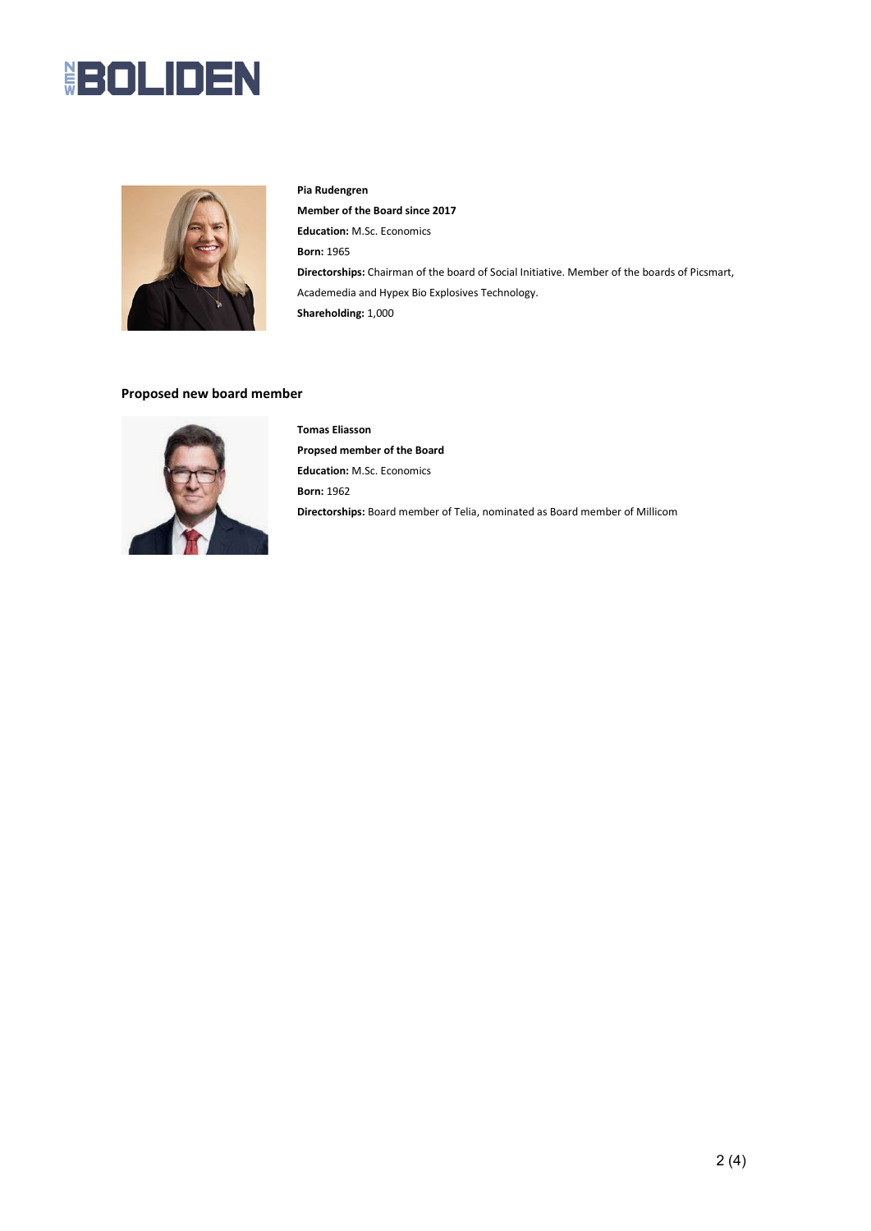## **BOLIDEN**



#### **Pia Rudengren**

**Member of the Board since 2017 Education:** M.Sc. Economics **Born:** 1965 **Directorships:** Chairman of the board of Social Initiative. Member of the boards of Picsmart, Academedia and Hypex Bio Explosives Technology. **Shareholding:** 1,000

#### **Proposed new board member**



**Tomas Eliasson Propsed member of the Board Education:** M.Sc. Economics **Born:** 1962 **Directorships:** Board member of Telia, nominated as Board member of Millicom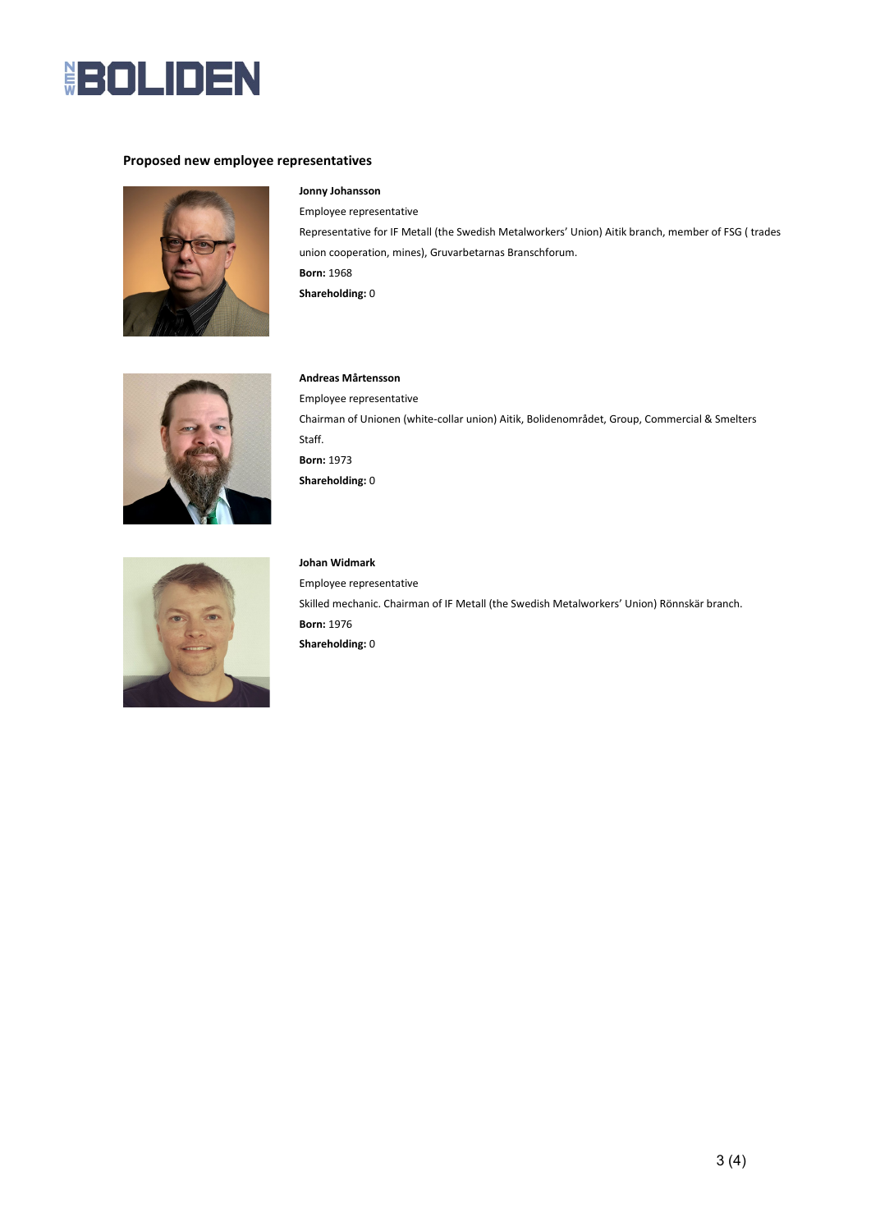

#### **Proposed new employee representatives**



#### **Jonny Johansson**

Employee representative Representative for IF Metall (the Swedish Metalworkers' Union) Aitik branch, member of FSG ( trades union cooperation, mines), Gruvarbetarnas Branschforum. **Born:** 1968 **Shareholding:** 0



#### **Andreas Mårtensson**

Employee representative Chairman of Unionen (white-collar union) Aitik, Bolidenområdet, Group, Commercial & Smelters Staff. **Born:** 1973 **Shareholding:** 0



**Johan Widmark** Employee representative Skilled mechanic. Chairman of IF Metall (the Swedish Metalworkers' Union) Rönnskär branch. **Born:** 1976 **Shareholding:** 0